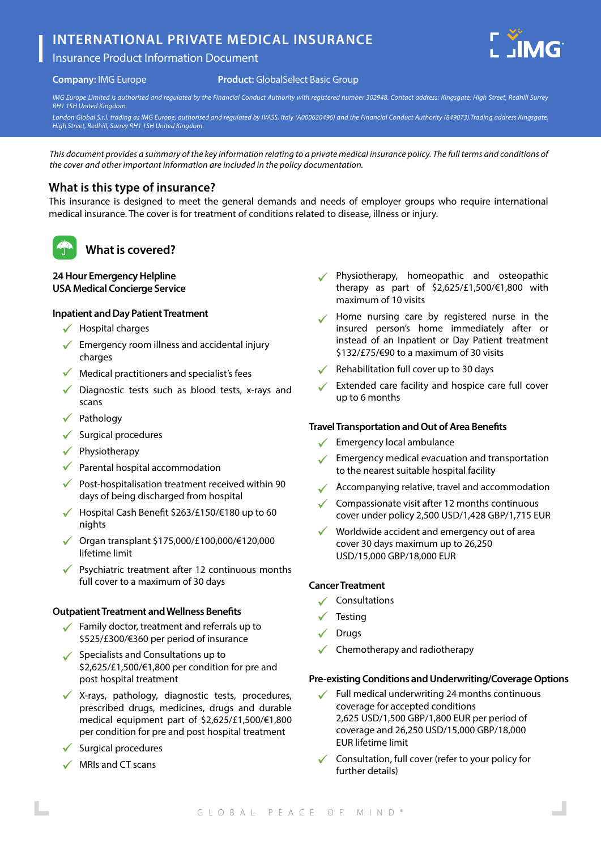# **INTERNATIONAL PRIVATE MEDICAL INSURANCE**

### Insurance Product Information Document



**Product:** GlobalSelect Basic Group

*IMG Europe Limited is authorised and regulated by the Financial Conduct Authority with registered number 302948. Contact address: Kingsgate, High Street, Redhill Surrey RH1 1SH United Kingdom.*

*London Global S.r.l. trading as IMG Europe, authorised and regulated by IVASS, Italy (A000620496) and the Financial Conduct Authority (849073).Trading address Kingsgate, High Street, Redhill, Surrey RH1 1SH United Kingdom.*

*This document provides a summary of the key information relating to a private medical insurance policy. The full terms and conditions of the cover and other important information are included in the policy documentation.*

### **What is this type of insurance?**

This insurance is designed to meet the general demands and needs of employer groups who require international medical insurance. The cover is for treatment of conditions related to disease, illness or injury.



## **What is covered?**

#### **24 Hour Emergency Helpline USA Medical Concierge Service**

#### **Inpatient and Day Patient Treatment**

- $\checkmark$  Hospital charges
- $\sqrt{\ }$  Emergency room illness and accidental injury charges
- $\sqrt{\phantom{a}}$  Medical practitioners and specialist's fees
- $\checkmark$  Diagnostic tests such as blood tests, x-rays and scans
- $\checkmark$  Pathology
- $\checkmark$  Surgical procedures
- $\checkmark$  Physiotherapy
- $\sqrt{\phantom{a}}$  Parental hospital accommodation
- $\sqrt{\phantom{a}}$  Post-hospitalisation treatment received within 90 days of being discharged from hospital
- Hospital Cash Benefit \$263/£150/€180 up to 60 nights
- $\checkmark$  Organ transplant \$175,000/£100,000/€120,000 lifetime limit
- Psychiatric treatment after 12 continuous months full cover to a maximum of 30 days

#### **Outpatient Treatment and Wellness Benefits**

- Family doctor, treatment and referrals up to \$525/£300/€360 per period of insurance
- $\checkmark$  Specialists and Consultations up to \$2,625/£1,500/€1,800 per condition for pre and post hospital treatment
- X-rays, pathology, diagnostic tests, procedures, prescribed drugs, medicines, drugs and durable medical equipment part of \$2,625/£1,500/€1,800 per condition for pre and post hospital treatment
- Surgical procedures
- $\checkmark$  MRIs and CT scans
- Physiotherapy, homeopathic and osteopathic therapy as part of \$2,625/£1,500/€1,800 with maximum of 10 visits
- Home nursing care by registered nurse in the insured person's home immediately after or instead of an Inpatient or Day Patient treatment \$132/£75/€90 to a maximum of 30 visits
- Rehabilitation full cover up to 30 days
- Extended care facility and hospice care full cover up to 6 months

#### **Travel Transportation and Out of Area Benefits**

- $\checkmark$  Emergency local ambulance
- $\sqrt{\phantom{a}}$  Emergency medical evacuation and transportation to the nearest suitable hospital facility
- Accompanying relative, travel and accommodation
- $\checkmark$  Compassionate visit after 12 months continuous cover under policy 2,500 USD/1,428 GBP/1,715 EUR
- Worldwide accident and emergency out of area cover 30 days maximum up to 26,250 USD/15,000 GBP/18,000 EUR

#### **Cancer Treatment**

- $\checkmark$  Consultations
- **Testing**
- Drugs
- Chemotherapy and radiotherapy

#### **Pre-existing Conditions and Underwriting/Coverage Options**

- Full medical underwriting 24 months continuous coverage for accepted conditions 2,625 USD/1,500 GBP/1,800 EUR per period of coverage and 26,250 USD/15,000 GBP/18,000 EUR lifetime limit
- $\checkmark$  Consultation, full cover (refer to your policy for further details)

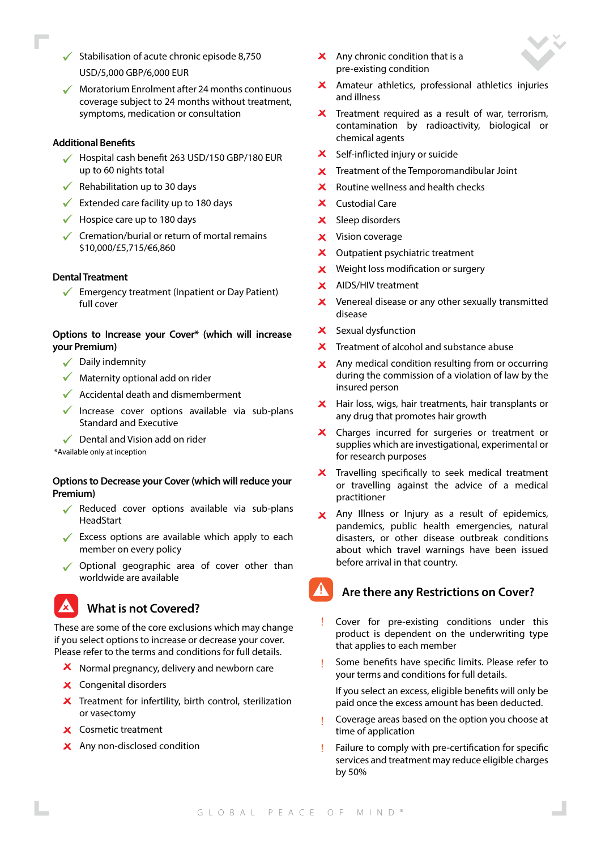- $\checkmark$  Stabilisation of acute chronic episode 8.750 USD/5,000 GBP/6,000 EUR
- $\sqrt{\phantom{a}}$  Moratorium Enrolment after 24 months continuous coverage subject to 24 months without treatment, symptoms, medication or consultation

#### **Additional Benefits**

- Hospital cash benefit 263 USD/150 GBP/180 EUR up to 60 nights total
- $\sqrt{\phantom{a}}$  Rehabilitation up to 30 days
- $\checkmark$  Extended care facility up to 180 days
- $\checkmark$  Hospice care up to 180 days
- $\checkmark$  Cremation/burial or return of mortal remains \$10,000/£5,715/€6,860

#### **Dental Treatment**

 $\checkmark$ Emergency treatment (Inpatient or Day Patient) full cover

#### **Options to Increase your Cover\* (which will increase your Premium)**

- $\sqrt{\phantom{a}}$  Daily indemnity
- $\sqrt{\phantom{a}}$  Maternity optional add on rider
- $\sqrt{\phantom{a}}$  Accidental death and dismemberment
- Increase cover options available via sub-plans Standard and Executive
- $\sqrt{\phantom{a}}$  Dental and Vision add on rider

\*Available only at inception

#### **Options to Decrease your Cover (which will reduce your Premium)**

- $\sqrt{\ }$  Reduced cover options available via sub-plans **HeadStart**
- $\sqrt{\ }$  Excess options are available which apply to each member on every policy
- ◆ Optional geographic area of cover other than worldwide are available

## **What is not Covered?**

These are some of the core exclusions which may change if you select options to increase or decrease your cover. Please refer to the terms and conditions for full details.

- $\boldsymbol{X}$  Normal pregnancy, delivery and newborn care
- X Congenital disorders
- $\boldsymbol{\times}$  Treatment for infertility, birth control, sterilization or vasectomy
- Cosmetic treatment
- X Any non-disclosed condition
- $\mathsf{\times}$  Any chronic condition that is a pre-existing condition
- Amateur athletics, professional athletics injuries and illness
- $\boldsymbol{\times}$  Treatment required as a result of war, terrorism, contamination by radioactivity, biological or chemical agents
- X Self-inflicted injury or suicide
- Treatment of the Temporomandibular Joint  $\mathbf{x}$
- Routine wellness and health checks  $\mathbf{x}$
- X Custodial Care
- X Sleep disorders
- **X** Vision coverage
- X Outpatient psychiatric treatment
- $\boldsymbol{\times}$  Weight loss modification or surgery
- X AIDS/HIV treatment
- $\boldsymbol{\times}$  Venereal disease or any other sexually transmitted disease
- X Sexual dysfunction
- $\boldsymbol{\times}$  Treatment of alcohol and substance abuse
- $\mathsf{\times}$  Any medical condition resulting from or occurring during the commission of a violation of law by the insured person
- X Hair loss, wigs, hair treatments, hair transplants or any drug that promotes hair growth
- $\boldsymbol{\mathsf{x}}$ Charges incurred for surgeries or treatment or supplies which are investigational, experimental or for research purposes
- $\overline{\mathsf{x}}$  Travelling specifically to seek medical treatment or travelling against the advice of a medical practitioner
- X Any Illness or Injury as a result of epidemics, pandemics, public health emergencies, natural disasters, or other disease outbreak conditions about which travel warnings have been issued before arrival in that country.

## **Are there any Restrictions on Cover?**

- Cover for pre-existing conditions under this Ţ. product is dependent on the underwriting type that applies to each member
- Some benefits have specific limits. Please refer to your terms and conditions for full details.
	- If you select an excess, eligible benefits will only be paid once the excess amount has been deducted.
- Coverage areas based on the option you choose at time of application
- Failure to comply with pre-certification for specific services and treatment may reduce eligible charges by 50%